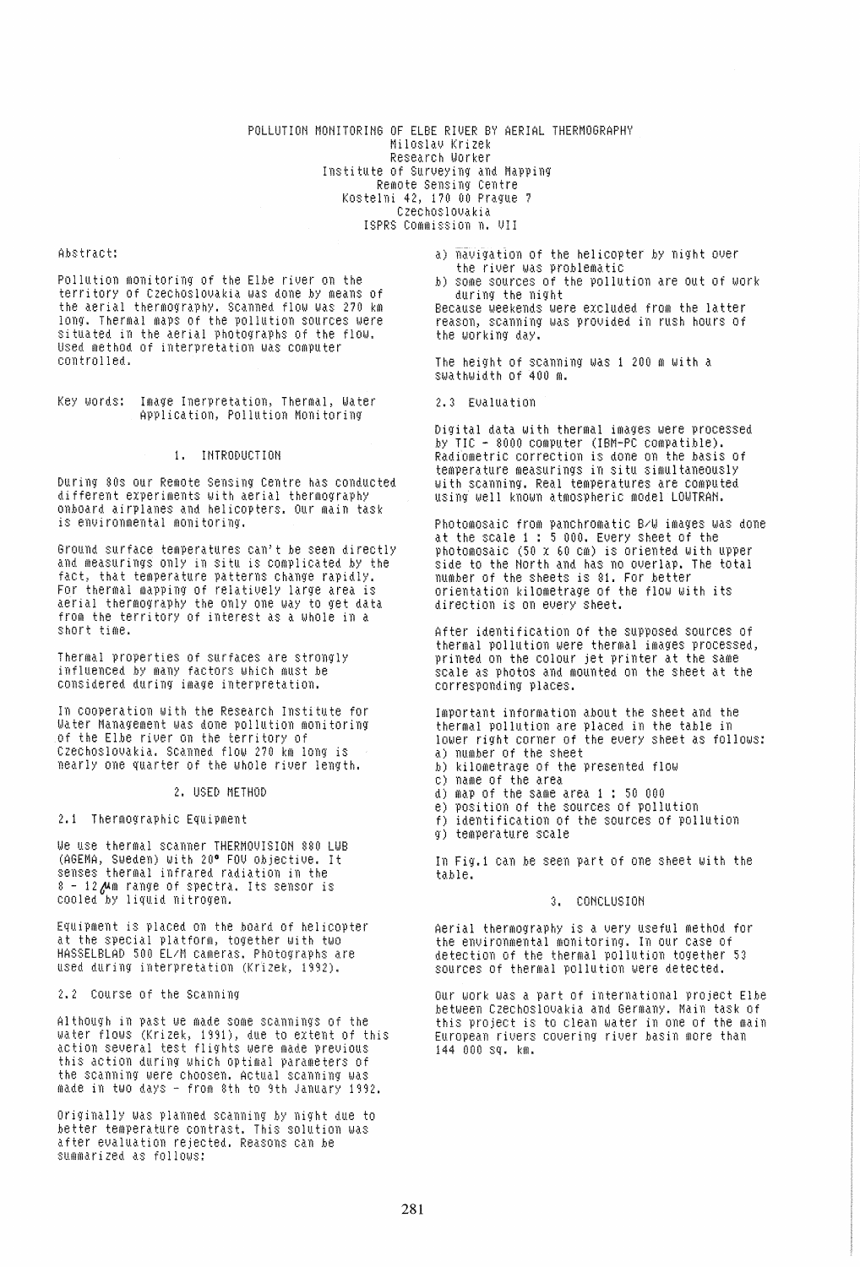#### POLLUTION MONITORING OF ELBE RIVER BY AERIAL THERMOGRAPHY Miloslau Krizek Research Worker Institute of Surveying and Mapping Remote Sensing Centre Kostelni 42, 170 00 Prague 7 Czechoslovakia ISPRS Commission n. VII

#### Abstract:

Pollution monitoring of the Elbe river on the territory of Czechoslovakia was done by means of the aerial thermography. Scanned flow was 270 km long. Thermal maps of the pollution sources were situated in the aerial photographs of the flow. Used method of interpretation was computer controlled.

Key Words: Image Inerpretation, Thermal, Water Application, Pollution Monitoring

# 1. INTRODUCTION

During 80s our Remote Sensing Centre has conducted different experiments with aerial thermography onboard airplanes and helicopters. Our main task is environmental monitoring.

Ground surface temperatures can't be seen directly and measurings only in situ is complicated by the fact, that temperature patterns change rapidly. For thermal mapping of relatively large area is aerial thermography the only one way to get data from the territory of interest as a whole in a short time.

Thermal properties of surfaces are strongly influenced by many factors which must be considered during image interpretation.

In cooperation with the Research Institute for Water Management was done pollution monitoring of the Elbe river on the territory of Czechoslovakia. Scanned flow 270 km long is nearly one quarter of the whole river length.

2. USED METHOD

#### 2.1 Thermographic Equipment

We use thermal scanner THERMOVISION 880 LWB (AGEMA, Sweden) with 20° FOU objective. It senses thermal infrared radiation in the 8 - 12 Mm range of spectra. Its sensor is cooled by liquid nitrogen.

Equipment is placed on the board of helicopter at the special platform, together with two HASSELBLAD 500 EL/M cameras. Photographs are used during interpretation (Krizek, 1992).

2.2 Course of the Scanning

Although in past we made some scannings of the water flows (Krizek, 1991), due to extent of this<br>action several test flights were made previous this action during which optimal parameters of the scanning were choosen. Actual scanning was made in two days - from 8th to 9th January 1992.

Originally Was planned scanning by night due to better temperature contrast. This solution was after evaluation rejected. Reasons can be summarized as follows:

a) navigation of the helicopter by night over the river was problematic

b) some sources of the pollution are out of work during the night

Because weekends were excluded from the latter reason, scanning was provided in rush hours of the working day.

The height of scanning was 1 200 m with a swathwidth of 400 m.

2.3 Evaluation

Digital data with thermal images were processed by TIC - 8000 computer (IBM-PC compatible). Radiometric correction is done on the basis of temperature measurings in situ simultaneously with scanning. Real temperatures are computed using well known atmospheric model LOWTRAN.

Photomosaic from panchromatic B/W images was done at the scale 1 : 5 000. Every sheet of the photomosaic (50 x 60 cm) is oriented with upper<br>side to the North and has no overlap. The total number of the sheets is 81. For better<br>orientation kilometrage of the flow with its direction is on every sheet.

After identification of the supposed sources of thermal pollution were thermal images processed, printed on the colour jet printer at the same scale as photos and mounted on the sheet at the corresponding places.

Important information about the sheet and the thermal pollution are placed in the table in<br>lower right corner of the every sheet as follows: a) number of the sheet

b) kilometrage of the presented flow

- c) name of the area
- d) map of the same area i : 50 000
- e) position of the sources of pollution
- f) identification of the sources of pollution q) temperature scale

In Fig.1 can be seen part of one sheet with the table.

### 3. CONCLUSION

Aerial thermography is a very useful method for the environmental monitoring. In our case of detection of the thermal pollution together 53 sources of thermal pollution were detected.

Our work was a part of international project Elbe between Czechoslovakia and Germany. Main task of this project is to clean water in one of the main European rivers covering river basin more than 144 000 sq. km.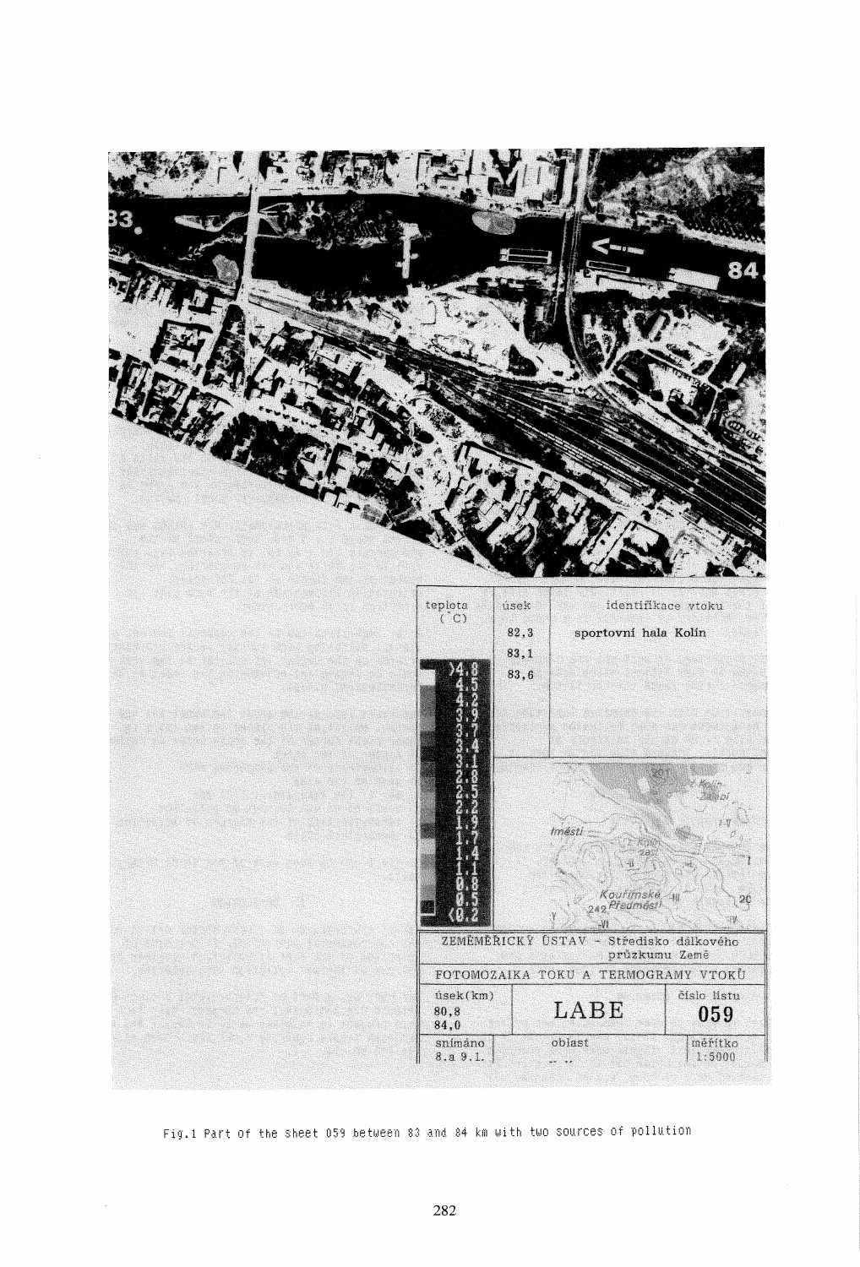

Fig.1 Part of the sheet 059 between 83 and 84 km with two sources of pollution